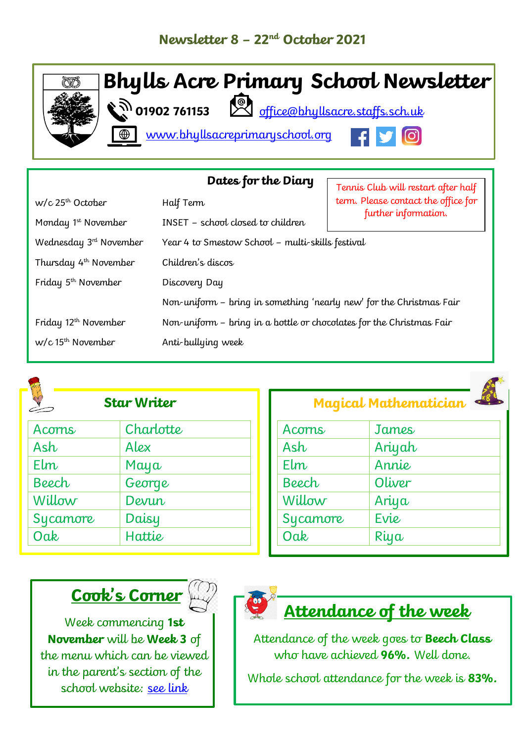

| Dates for the Diary<br>Tennis Club will restart after half |                                                                      |                                     |  |
|------------------------------------------------------------|----------------------------------------------------------------------|-------------------------------------|--|
| $w/c$ 25 <sup>th</sup> October                             | Half Term                                                            | term. Please contact the office for |  |
| Monday 1 <sup>st</sup> November                            | <b>INSET</b> - school closed to children                             | further information.                |  |
| Wednesday $3rd$ November                                   | Year 4 to Smestow School - multi-skills festival                     |                                     |  |
| Thursday 4 <sup>th</sup> November                          | Children's discos                                                    |                                     |  |
| Friday $5th$ November                                      | Discovery Day                                                        |                                     |  |
|                                                            | Non-uniform - bring in something 'nearly new' for the Christmas Fair |                                     |  |
| Friday 12 <sup>th</sup> November                           | Non-uniform - bring in a bottle or chocolates for the Christmas Fair |                                     |  |
| $w/c$ 15 <sup>th</sup> November                            | Anti-bullying week                                                   |                                     |  |



### **Star Writer**

| Acorns   | Charlotte |
|----------|-----------|
| Ash      | Alex      |
| $E$ lm   | Maya      |
| Beech    | George    |
| Willow   | Devun     |
| Sycamore | Daisy     |
| Oak      | Hattie    |
|          |           |

| Acorns   | James  |
|----------|--------|
| Ash      | Ariyah |
| Elm      | Annie  |
| Beech    | Oliver |
| Willow   | Ariya  |
| Sycamore | Evie   |
| Oak      | Riya   |

**Magical Mathematician**

## **Cook's Corner**

Week commencing **1st November** will be **Week 3** of the menu which can be viewed in the parent's section of the school website: [see link](https://www.bhyllsacreprimaryschool.org/parents/school-meals)



## **Attendance of the week**

Attendance of the week goes to **Beech Class** who have achieved **96%.** Well done.

Whole school attendance for the week is **83%.**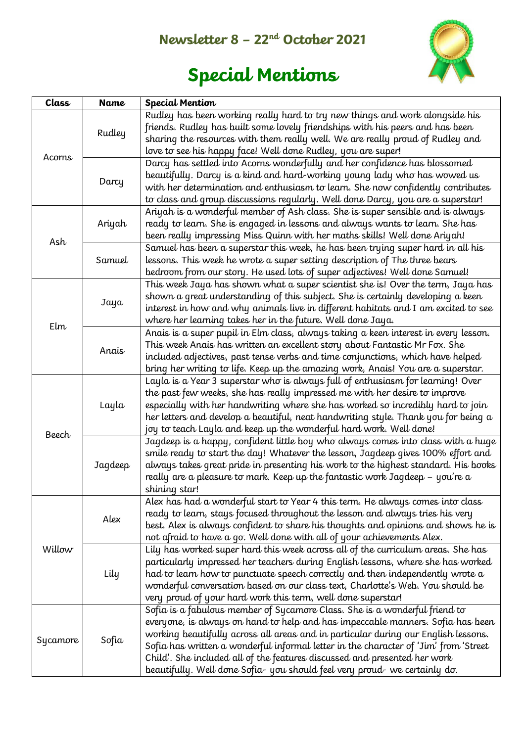### **Newsletter 8 – 22nd October 2021**



# **Special Mentions**

| Class        | <b>Name</b> | <b>Special Mention</b>                                                                                                                                                                                                                                                                                                                                                                                                                                                                                |  |
|--------------|-------------|-------------------------------------------------------------------------------------------------------------------------------------------------------------------------------------------------------------------------------------------------------------------------------------------------------------------------------------------------------------------------------------------------------------------------------------------------------------------------------------------------------|--|
| Acorns       | Rudley      | Rudley has been working really hard to try new things and work alongside his<br>friends. Rudley has built some lovely friendships with his peers and has been<br>sharing the resources with them really well. We are really proud of Rudley and<br>love to see his happy face! Well done Rudley, you are super!                                                                                                                                                                                       |  |
|              | Darcy       | Darcy has settled into Acorns wonderfully and her confidence has blossomed<br>beautifully. Darcy is a kind and hard-working young lady who has wowed us<br>with her determination and enthusiasm to learn. She now confidently contributes<br>to class and group discussions regularly. Well done Darcy, you are a superstar!                                                                                                                                                                         |  |
| Ash          | Ariyah      | Ariyah is a wonderful member of Ash class. She is super sensible and is always<br>ready to learn. She is engaged in lessons and always wants to learn. She has<br>been really impressing Miss Quinn with her maths skills! Well done Ariyah!                                                                                                                                                                                                                                                          |  |
|              | Samuel      | Samuel has been a superstar this week, he has been trying super hard in all his<br>lessons. This week he wrote a super setting description of The three bears<br>bedroom from our story. He used lots of super adjectives! Well done Samuel!                                                                                                                                                                                                                                                          |  |
| Elm          | Jaya        | This week Jaya has shown what a super scientist she is! Over the term, Jaya has<br>shown a great understanding of this subject. She is certainly developing a keen<br>interest in how and why animals live in different habitats and I am excited to see<br>where her learning takes her in the future. Well done Jaya.                                                                                                                                                                               |  |
|              | Anais       | Anais is a super pupil in Elm class, always taking a keen interest in every lesson.<br>This week Anais has written an excellent story about Fantastic Mr Fox. She<br>included adjectives, past tense verbs and time conjunctions, which have helped<br>bring her writing to life. Keep up the amazing work, Anais! You are a superstar.                                                                                                                                                               |  |
| <b>Beech</b> | Layla       | Layla is a Year 3 superstar who is always full of enthusiasm for learning! Over<br>the past few weeks, she has really impressed me with her desire to improve<br>especially with her handwriting where she has worked so incredibly hard to join<br>her letters and develop a beautiful, neat handwriting style. Thank you for being a<br>joy to teach Layla and keep up the wonderful hard work. Well done!                                                                                          |  |
|              | Jaqdeep     | Jagdeep is a happy, confident little boy who always comes into class with a huge<br>smile ready to start the day! Whatever the lesson, Jagdeep gives 100% effort and<br>always takes great pride in presenting his work to the highest standard. His books<br>really are a pleasure to mark. Keep up the fantastic work Jagdeep – you're a<br>shining star!                                                                                                                                           |  |
| Willow       | Alex        | Alex has had a wonderful start to Year 4 this term. He always comes into class<br>ready to learn, stays focused throughout the lesson and always tries his very<br>best. Alex is always confident to share his thoughts and opinions and shows he is<br>not afraid to have a go. Well done with all of your achievements Alex.                                                                                                                                                                        |  |
|              | Lily        | Lily has worked super hard this week across all of the curriculum areas. She has<br>particularly impressed her teachers during English lessons, where she has worked<br>had to learn how to punctuate speech correctly and then independently wrote a<br>wonderful conversation based on our class text, Charlotte's Web. You should be<br>very proud of your hard work this term, well done superstar!                                                                                               |  |
| Sycamore     | Sofia       | Sofia is a fabulous member of Sycamore Class. She is a wonderful friend to<br>everyone, is always on hand to help and has impeccable manners. Sofia has been<br>working beautifully across all areas and in particular during our English lessons.<br>Sofia has written a wonderful informal letter in the character of 'Jim' from 'Street<br>Child'. She included all of the features discussed and presented her work<br>beautifully. Well done Sofia- you should feel very proud- we certainly do. |  |